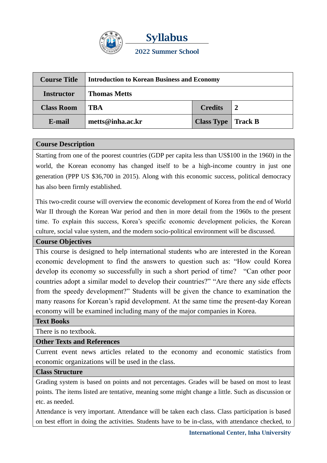

| <b>Course Title</b> | <b>Introduction to Korean Business and Economy</b> |                                    |  |
|---------------------|----------------------------------------------------|------------------------------------|--|
| <b>Instructor</b>   | <b>Thomas Metts</b>                                |                                    |  |
| <b>Class Room</b>   | TBA                                                | <b>Credits</b>                     |  |
| E-mail              | metts@inha.ac.kr                                   | <b>Class Type</b>   <b>Track B</b> |  |

### **Course Description**

Starting from one of the poorest countries (GDP per capita less than US\$100 in the 1960) in the world, the Korean economy has changed itself to be a high-income country in just one generation (PPP US \$36,700 in 2015). Along with this economic success, political democracy has also been firmly established.

This two-credit course will overview the economic development of Korea from the end of World War II through the Korean War period and then in more detail from the 1960s to the present time. To explain this success, Korea's specific economic development policies, the Korean culture, social value system, and the modern socio-political environment will be discussed.

### **Course Objectives**

This course is designed to help international students who are interested in the Korean economic development to find the answers to question such as: "How could Korea develop its economy so successfully in such a short period of time? "Can other poor countries adopt a similar model to develop their countries?" "Are there any side effects from the speedy development?" Students will be given the chance to examination the many reasons for Korean's rapid development. At the same time the present-day Korean economy will be examined including many of the major companies in Korea.

### **Text Books**

There is no textbook.

### **Other Texts and References**

Current event news articles related to the economy and economic statistics from economic organizations will be used in the class.

### **Class Structure**

Grading system is based on points and not percentages. Grades will be based on most to least points. The items listed are tentative, meaning some might change a little. Such as discussion or etc. as needed.

Attendance is very important. Attendance will be taken each class. Class participation is based on best effort in doing the activities. Students have to be in-class, with attendance checked, to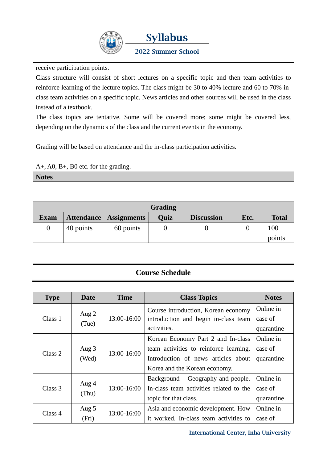

# **Syllabus**

### **2022 Summer School**

receive participation points.

Class structure will consist of short lectures on a specific topic and then team activities to reinforce learning of the lecture topics. The class might be 30 to 40% lecture and 60 to 70% inclass team activities on a specific topic. News articles and other sources will be used in the class instead of a textbook.

The class topics are tentative. Some will be covered more; some might be covered less, depending on the dynamics of the class and the current events in the economy.

Grading will be based on attendance and the in-class participation activities.

A+, A0, B+, B0 etc. for the grading.

**Notes**

| Grading     |           |                          |             |                   |      |               |
|-------------|-----------|--------------------------|-------------|-------------------|------|---------------|
| <b>Exam</b> |           | Attendance   Assignments | <b>Quiz</b> | <b>Discussion</b> | Etc. | <b>Total</b>  |
|             | 40 points | 60 points                |             |                   |      | 100<br>points |

### **Course Schedule**

| <b>Type</b> | <b>Date</b>      | <b>Time</b> | <b>Class Topics</b>                                                                                                                                  | <b>Notes</b>                       |
|-------------|------------------|-------------|------------------------------------------------------------------------------------------------------------------------------------------------------|------------------------------------|
| Class 1     | Aug $2$<br>(Tue) | 13:00-16:00 | Course introduction, Korean economy<br>introduction and begin in-class team<br>activities.                                                           | Online in<br>case of<br>quarantine |
| Class 2     | Aug 3<br>(Wed)   | 13:00-16:00 | Korean Economy Part 2 and In-class<br>team activities to reinforce learning.<br>Introduction of news articles about<br>Korea and the Korean economy. | Online in<br>case of<br>quarantine |
| Class 3     | Aug 4<br>(Thu)   | 13:00-16:00 | Background – Geography and people.<br>In-class team activities related to the<br>topic for that class.                                               | Online in<br>case of<br>quarantine |
| Class 4     | Aug 5<br>(Fri)   | 13:00-16:00 | Asia and economic development. How<br>it worked. In-class team activities to                                                                         | Online in<br>case of               |

**International Center, Inha University**